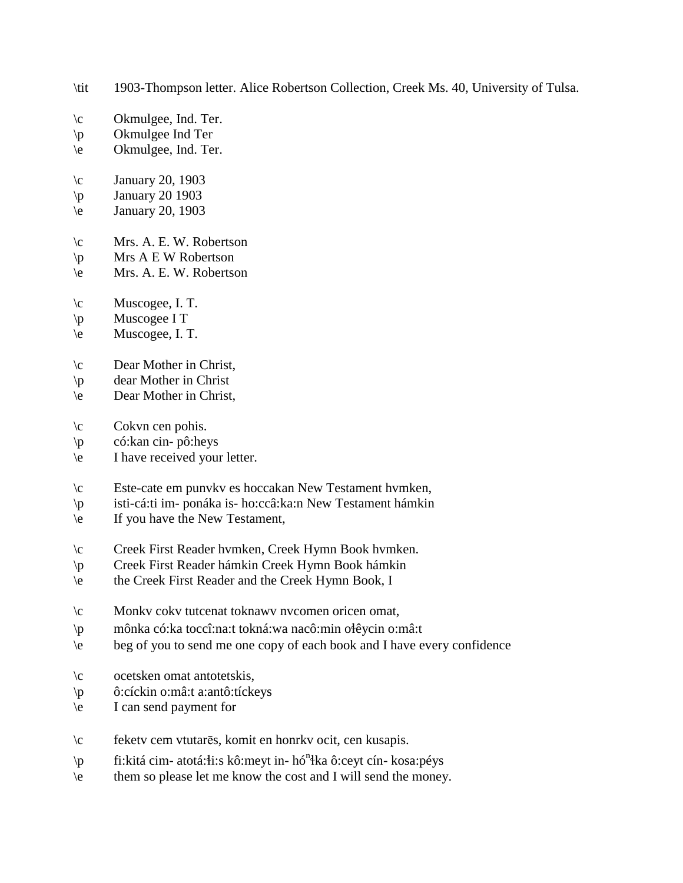- \tit 1903-Thompson letter. Alice Robertson Collection, Creek Ms. 40, University of Tulsa.
- \c Okmulgee, Ind. Ter.
- \p Okmulgee Ind Ter
- \e Okmulgee, Ind. Ter.
- $\c$  January 20, 1903
- $\pi$  January 20 1903
- $\text{January } 20, 1903$
- \c Mrs. A. E. W. Robertson
- $\pmb{\varphi}$  Mrs A E W Robertson
- \e Mrs. A. E. W. Robertson
- $\c$  Muscogee, I. T.
- \p Muscogee I T
- \e Muscogee, I. T.
- \c Dear Mother in Christ,
- \p dear Mother in Christ
- \e Dear Mother in Christ,
- $\c$  Cokvn cen pohis.
- \p có:kan cin- pô:heys
- \e I have received your letter.
- \c Este-cate em punvkv es hoccakan New Testament hvmken,
- \p isti-cá:ti im- ponáka is- ho:ccâ:ka:n New Testament hámkin
- \e If you have the New Testament,
- \c Creek First Reader hvmken, Creek Hymn Book hvmken.
- \p Creek First Reader hámkin Creek Hymn Book hámkin
- \e the Creek First Reader and the Creek Hymn Book, I
- \c Monkv cokv tutcenat toknawv nvcomen oricen omat,
- \p mônka có:ka toccî:na:t tokná:wa nacô:min o!êycin o:mâ:t
- \e beg of you to send me one copy of each book and I have every confidence
- \c ocetsken omat antotetskis,
- \p ô:cíckin o:mâ:t a:antô:tíckeys
- \e I can send payment for
- \c feketv cem vtutarēs, komit en honrkv ocit, cen kusapis.
- \p fi: kitá cim atotá: i:s kô: meyt in hó<sup>n</sup> ka ô: ceyt cín kosa: péys
- \e them so please let me know the cost and I will send the money.